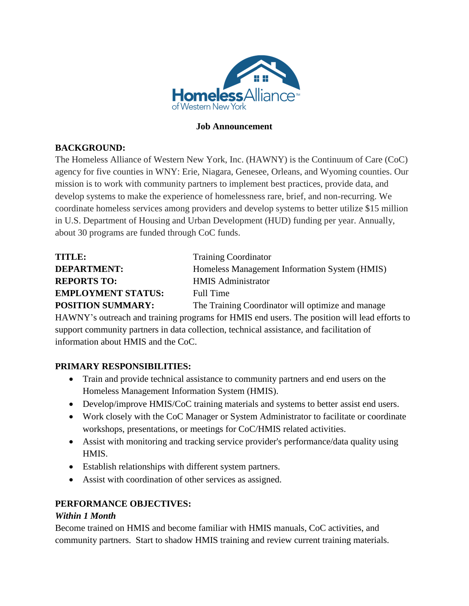

#### **Job Announcement**

#### **BACKGROUND:**

The Homeless Alliance of Western New York, Inc. (HAWNY) is the Continuum of Care (CoC) agency for five counties in WNY: Erie, Niagara, Genesee, Orleans, and Wyoming counties. Our mission is to work with community partners to implement best practices, provide data, and develop systems to make the experience of homelessness rare, brief, and non-recurring. We coordinate homeless services among providers and develop systems to better utilize \$15 million in U.S. Department of Housing and Urban Development (HUD) funding per year. Annually, about 30 programs are funded through CoC funds.

| <b>TITLE:</b>             | <b>Training Coordinator</b>                       |
|---------------------------|---------------------------------------------------|
| <b>DEPARTMENT:</b>        | Homeless Management Information System (HMIS)     |
| <b>REPORTS TO:</b>        | <b>HMIS</b> Administrator                         |
| <b>EMPLOYMENT STATUS:</b> | Full Time                                         |
| <b>POSITION SUMMARY:</b>  | The Training Coordinator will optimize and manage |

HAWNY's outreach and training programs for HMIS end users. The position will lead efforts to support community partners in data collection, technical assistance, and facilitation of information about HMIS and the CoC.

### **PRIMARY RESPONSIBILITIES:**

- Train and provide technical assistance to community partners and end users on the Homeless Management Information System (HMIS).
- Develop/improve HMIS/CoC training materials and systems to better assist end users.
- Work closely with the CoC Manager or System Administrator to facilitate or coordinate workshops, presentations, or meetings for CoC/HMIS related activities.
- Assist with monitoring and tracking service provider's performance/data quality using HMIS.
- Establish relationships with different system partners.
- Assist with coordination of other services as assigned.

### **PERFORMANCE OBJECTIVES:**

#### *Within 1 Month*

Become trained on HMIS and become familiar with HMIS manuals, CoC activities, and community partners. Start to shadow HMIS training and review current training materials.